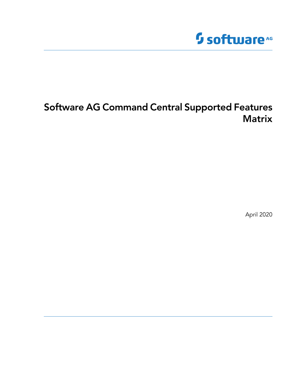# **Software**<sup>AG</sup>

# **Software AG Command Central Supported Features Matrix**

April 2020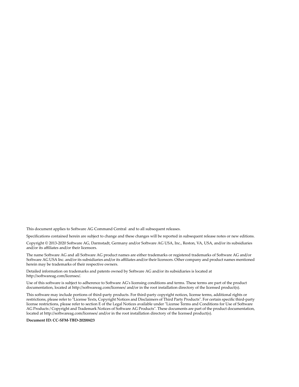This document applies to Software AG Command Central and to all subsequent releases.

Specifications contained herein are subject to change and these changes will be reported in subsequent release notes or new editions.

Copyright © 2013-2020 Software AG, Darmstadt, Germany and/or Software AG USA, Inc., Reston, VA, USA, and/or its subsidiaries and/or its affiliates and/or their licensors.

The name Software AG and all Software AG product names are either trademarks or registered trademarks of Software AG and/or Software AG USA Inc. and/or its subsidiaries and/or its affiliates and/or their licensors. Other company and product names mentioned herein may be trademarks of their respective owners.

Detailed information on trademarks and patents owned by Software AG and/or its subsidiaries is located at [http://softwareag.com/licenses/](https://www.softwareag.com/licenses/default.html).

Use of this software is subject to adherence to Software AG's licensing conditions and terms. These terms are part of the product documentation, located at [http://softwareag.com/licenses/](https://www.softwareag.com/licenses/default.html) and/or in the root installation directory of the licensed product(s).

This software may include portions of third-party products. For third-party copyright notices, license terms, additional rights or restrictions, please refer to "License Texts, Copyright Notices and Disclaimers of Third Party Products". For certain specific third-party license restrictions, please refer to section E of the Legal Notices available under "License Terms and Conditions for Use of Software AG Products / Copyright and Trademark Notices of Software AG Products". These documents are part of the product documentation, located at [http://softwareag.com/licenses/](https://www.softwareag.com/licenses/default.html) and/or in the root installation directory of the licensed product(s).

#### **Document ID: CC-SFM-TBD-20200423**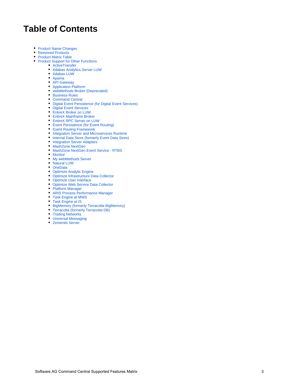# **Table of Contents**

- [Product Name Changes](#page-3-0)
- [Removed Products](#page-3-1)
- [Product Matrix Table](#page-3-2)
- [Product Support for Other Functions](#page-6-0)
	- [ActiveTransfer](#page-6-1)
	- [Adabas Analytics Server LUW](#page-6-2)
	- [Adabas LUW](#page-6-3)
	- [Apama](#page-6-4)
	- [API Gateway](#page-7-0)
	- [Application Platform](#page-7-1) [webMethods Broker \(Deprecated\)](#page-8-0)
	- [Business Rules](#page-8-1)
	- [Command Central](#page-9-0)
	- [Digital Event Persistence \(for Digital Event Services\)](#page-12-0)
	- [Digital Event Services](#page-12-1)
	- [EntireX Broker on LUW](#page-12-2)
	- [EntireX Mainframe Broker](#page-13-0)
	- [EntireX RPC Server on LUW](#page-13-1)
	- [Event Persistence \(for Event Routing\)](#page-13-2)
	- [Event Routing Framework](#page-14-0)
	- [Integration Server and Microservices Runtime](#page-14-1)
	- Internal Data Store (formerly Event Data Store)
	- [Integration Server Adapters](#page-16-0)
	- [MashZone NextGen](#page-16-1)
	- [MashZone NextGen Event Service RTBS](#page-17-0)
	- [Monitor](#page-17-1)
	- [My webMethods Server](#page-18-0)
	- [Natural LUW](#page-18-1)
	- [OneData](#page-19-0)
	- [Optimize Analytic Engine](#page-19-1)
	- [Optimize Infrastructure Data Collector](#page-20-0)
	- [Optimize User Interface](#page-21-0)
	- [Optimize Web Service Data Collector](#page-21-1)
	- [Platform Manager](#page-21-2)
	- [ARIS Process Performance Manager](#page-22-0)
	- [Task Engine at MWS](#page-22-1)
	- [Task Engine at IS](#page-22-2)
	- [BigMemory \(formerly Terracotta BigMemory\)](#page-22-3)
	- [Terracotta \(formerly Terracotta DB\)](#page-23-0)
	- [Trading Networks](#page-23-1)
	- [Universal Messaging](#page-24-0)
	- [Zementis Server](#page-25-0)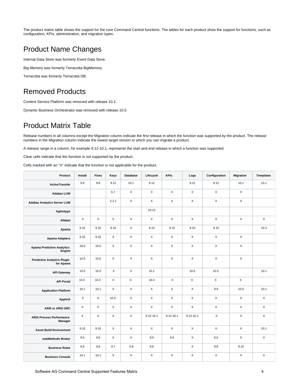The product matrix table shows the support for the core Command Central functions. The tables for each product show the support for functions, such as configuration, KPIs, administration, and migration types.

### <span id="page-3-0"></span>Product Name Changes

Internal Data Store was formerly Event Data Store.

Big Memory was formerly Terracotta BigMemory.

Terracotta was formerly Terracotta DB.

### <span id="page-3-1"></span>Removed Products

Content Service Platform was removed with release 10.2.

Dynamic Business Orchestrator was removed with release 10.5.

### <span id="page-3-2"></span>Product Matrix Table

Release numbers in all columns except the Migration column indicate the first release in which the function was supported by the product. The release numbers in the Migration column indicate the lowest target version to which you can migrate a product.

A release range in a column, for example 9.12-10.1, represents the start and end release in which a function was supported.

Clear cells indicate that the function is not supported by the product.

Cells marked with an "X" indicate that the function is not applicable for the product.

| Product                                         | Install                   | <b>Fixes</b> | Keys         | <b>Database</b> | Lifecycle     | <b>KPIs</b>   | Logs          | Configuration | <b>Migration</b> | <b>Templates</b> |
|-------------------------------------------------|---------------------------|--------------|--------------|-----------------|---------------|---------------|---------------|---------------|------------------|------------------|
| <b>ActiveTransfer</b>                           | 9.8                       | 9.8          | 9.12         | 10.1            | 9.12          |               | 9.12          | 9.12          | 10.1             | 10.1             |
| <b>Adabas LUW</b>                               |                           |              | 6.7          | X               | X             | X             | X             | $\mathsf X$   | X                |                  |
| <b>Adabas Analytics Server LUW</b>              |                           |              | 2.2.1        | X               | X             | X             | X             | $\mathsf X$   | X                |                  |
| <b>AgileApps</b>                                |                           |              |              |                 | 10.12         |               |               |               |                  |                  |
| Alfabet                                         | $\mathsf X$               | X            | $\mathsf X$  | X               | $\mathsf X$   | $\mathsf X$   | $\mathsf X$   | $\mathsf X$   | X                | $\mathsf X$      |
| Apama                                           | 9.10                      | 9.10         | 9.10         | X               | 9.10          | 9.10          | 9.10          | 9.10          |                  | 10.3             |
| <b>Apama Adapters</b>                           | 9.10                      | 9.10         | $\mathsf X$  | $\mathsf{X}$    | $\mathsf X$   | X             | X             | $\mathsf X$   | X                |                  |
| <b>Apama Predictive Analytics</b><br>Engine     | 10.0                      | 10.0         | X            | X               | $\mathsf X$   | X             | $\mathsf X$   | X             | $\mathsf X$      |                  |
| <b>Predictive Analytics Plugin</b><br>for Apama | 10.0                      | 10.0         | X            | X               | $\mathsf X$   | X             | $\mathsf X$   | X             | $\mathsf X$      |                  |
| <b>API Gateway</b>                              | 10.0                      | 10.0         | $\mathsf{X}$ | X               | 10.1          |               | 10.5          | 10.5          |                  | 10.1             |
| <b>API Portal</b>                               | 10.3                      | 10.3         | X            | $\mathsf X$     | 10.4          | X             | X             | X             | X                |                  |
| <b>Application Platform</b>                     | 10.1                      | 10.1         | $\mathsf X$  | X               | $\mathsf X$   | X             | X             | 9.9           | 10.0             | 10.1             |
| ApplinX                                         | $\boldsymbol{\mathsf{X}}$ | X            | 10.3         | X               | X             | X             | X             | $\mathsf X$   | X                | $\mathsf X$      |
| ARIS or ARIS GRC                                | $\mathsf X$               | X            | $\mathsf{X}$ | X               | X             | X             | X             | $\mathsf X$   | X                | $\mathsf X$      |
| <b>ARIS Process Performance</b><br>Manager      | X                         | X            | X            | X               | $9.12 - 10.1$ | $9.12 - 10.1$ | $9.12 - 10.1$ | X             | $\mathsf X$      | $\mathsf X$      |
| <b>Asset Build Environment</b>                  | 9.10                      | 9.10         | $\mathsf X$  | X               | $\mathsf X$   | X             | $\mathsf X$   | $\mathsf X$   | $\mathsf X$      | 10.1             |
| webMethods Broker                               | 9.6                       | 9.6          | $\mathsf X$  | X               | 9.0           | 9.0           | $\mathsf X$   | 9.0           | X                | $\mathsf X$      |
| <b>Business Rules</b>                           | 9.8                       | 9.8          | 9.7          | 9.8             | 9.6           |               | X             | 9.8           | 9.10             |                  |
| <b>Business Console</b>                         | 10.1                      | 10.1         | $\mathsf{X}$ | $\mathsf{X}$    | $\mathsf X$   | X             | $\mathsf X$   | X             | X                | $\mathsf X$      |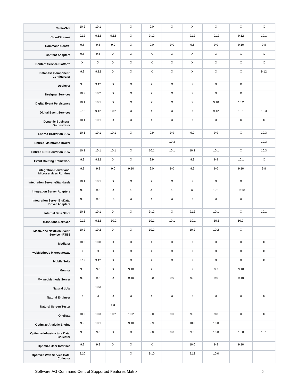| <b>CentraSite</b>                                             | 10.2     | 10.1 |      | X           | 9.0  | X    | X    | X           | X    | X           |
|---------------------------------------------------------------|----------|------|------|-------------|------|------|------|-------------|------|-------------|
| <b>CloudStreams</b>                                           | 9.12     | 9.12 | 9.12 | X           | 9.12 |      | 9.12 | 9.12        | 9.12 | 10.1        |
| <b>Command Central</b>                                        | 9.8      | 9.8  | 9.0  | X           | 9.0  | 9.0  | 9.6  | 9.0         | 9.10 | 9.8         |
| <b>Content Adapters</b>                                       | 9.8      | 9.8  | X    | X           | X    | X    | X    | X           | X    | X           |
| <b>Content Service Platform</b>                               | X        | X    | X    | X           | X    | X    | X    | X           | X    | X           |
| <b>Database Component</b><br>Configurator                     | 9.8      | 9.12 | X    | X           | X    | X    | X    | X           | X    | 9.12        |
| Deployer                                                      | 9.8      | 9.12 | X    | X           | X    | X    | X    | X           | X    |             |
| <b>Designer Services</b>                                      | 10.2     | 10.2 | X    | X           | X    | X    | X    | X           | X    |             |
| <b>Digital Event Persistence</b>                              | 10.1     | 10.1 | X    | X           | X    | X    | X    | 9.10        | 10.2 |             |
| <b>Digital Event Services</b>                                 | 9.12     | 9.12 | 10.2 | X           | X    | X    | X    | 9.12        | 10.1 | 10.3        |
| <b>Dynamic Business</b><br>Orchestrator                       | 10.1     | 10.1 | X    | X           | X    | X    | X    | X           | X    | X           |
| EntireX Broker on LUW                                         | 10.1     | 10.1 | 10.1 | X           | 9.9  | 9.9  | 9.9  | 9.9         | X    | 10.3        |
| <b>EntireX Mainframe Broker</b>                               |          |      |      |             |      | 10.3 |      |             |      | 10.3        |
| EntireX RPC Server on LUW                                     | 10.1     | 10.1 | 10.1 | X           | 10.1 | 10.1 | 10.1 | 10.1        | X    | 10.3        |
| <b>Event Routing Framework</b>                                | 9.9      | 9.12 | X    | X           | 9.9  |      | 9.9  | 9.9         | 10.1 | X           |
| <b>Integration Server and</b><br><b>Microservices Runtime</b> | 9.8      | 9.8  | 9.0  | 9.10        | 9.0  | 9.0  | 9.6  | 9.0         | 9.10 | 9.8         |
| <b>Integration Server eStandards</b>                          | 10.1     | 10.1 | X    | X           | X    | X    | X    | X           | X    |             |
| <b>Integration Server Adapters</b>                            | 9.8      | 9.8  | X    | X           | X    | X    | X    | 10.1        | 9.10 |             |
| <b>Integration Server BigData</b><br><b>Driver Adapters</b>   | 9.8      | 9.8  | X    | X           | X    | X    | X    | X           | X    |             |
| <b>Internal Data Store</b>                                    | 10.1     | 10.1 | X    | X           | 9.12 | X    | 9.12 | 10.1        | X    | 10.1        |
| <b>MashZone NextGen</b>                                       | 9.12     | 9.12 | 10.2 |             | 10.1 | 10.1 | 10.1 | 10.1        | 10.2 |             |
| <b>MashZone NextGen Event</b><br>Service - RTBS               | 10.2     | 10.2 | X    | X           | 10.2 |      | 10.2 | 10.2        | X    |             |
| Mediator                                                      | $10.0\,$ | 10.0 | Χ    | Χ           | X    | X    | X    | X           | Χ    | $\mathsf X$ |
| webMethods Microgateway                                       | X        | X    | X    | $\mathsf X$ | X    | X    | X    | X           | X    | $\mathsf X$ |
| <b>Mobile Suite</b>                                           | 9.12     | 9.12 | X    | X           | X    | X    | X    | X           | X    | $\mathsf X$ |
| <b>Monitor</b>                                                | 9.8      | 9.8  | X    | 9.10        | X    |      | X    | 9.7         | 9.10 |             |
| My webMethods Server                                          | 9.8      | 9.8  | Χ    | 9.10        | 9.0  | 9.0  | 9.9  | 9.0         | 9.10 |             |
| <b>Natural LUW</b>                                            |          | 10.3 |      |             |      |      |      |             |      |             |
| <b>Natural Engineer</b>                                       | X        | X    | X    | X           | X    | X    | X    | $\mathsf X$ | X    | $\mathsf X$ |
| <b>Natural Screen Tester</b>                                  |          |      | 1.3  |             |      |      |      |             |      |             |
| OneData                                                       | 10.2     | 10.3 | 10.2 | 10.2        | 9.0  | 9.0  | 9.6  | 9.8         | X    | $\mathsf X$ |
| <b>Optimize Analytic Engine</b>                               | 9.9      | 10.1 |      | 9.10        | 9.9  |      | 10.0 | 10.0        |      |             |
| Optimize Infrastructure Data<br>Collector                     | 9.8      | 9.8  | X    | X           | 9.0  | 9.0  | 9.6  | 10.0        | 10.0 | 10.1        |
| <b>Optimize User Interface</b>                                | 9.8      | 9.8  | X    | X           | X    |      | 10.0 | 9.8         | 9.10 |             |
| Optimize Web Service Data<br>Collector                        | 9.10     |      |      | $\mathsf X$ | 9.10 |      | 9.12 | 10.0        |      |             |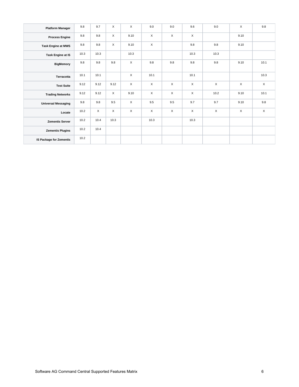| <b>Platform Manager</b>        | 9.8  | 9.7  | $\mathsf X$ | $\mathsf{X}$ | 9.0          | 9.0          | 9.6         | 9.0          | X    | 9.8          |
|--------------------------------|------|------|-------------|--------------|--------------|--------------|-------------|--------------|------|--------------|
| <b>Process Engine</b>          | 9.8  | 9.8  | $\mathsf X$ | 9.10         | $\mathsf{X}$ | X            | X           |              | 9.10 |              |
| <b>Task Engine at MWS</b>      | 9.8  | 9.8  | $\mathsf X$ | 9.10         | $\times$     |              | 9.8         | 9.8          | 9.10 |              |
| Task Engine at IS              | 10.3 | 10.3 |             | 10.3         |              |              | 10.3        | 10.3         |      |              |
| <b>BigMemory</b>               | 9.8  | 9.8  | 9.8         | $\mathsf X$  | 9.8          | 9.8          | 9.8         | 9.8          | 9.10 | 10.1         |
| Terracotta                     | 10.1 | 10.1 |             | $\mathsf{X}$ | 10.1         |              | 10.1        |              |      | 10.3         |
| <b>Test Suite</b>              | 9.12 | 9.12 | 9.12        | $\mathsf{X}$ | $\times$     | X            | X           | $\mathsf{X}$ | X    | $\mathsf{X}$ |
| <b>Trading Networks</b>        | 9.12 | 9.12 | $\mathsf X$ | 9.10         | $\times$     | $\mathsf{X}$ | $\mathsf X$ | 10.2         | 9.10 | 10.1         |
| <b>Universal Messaging</b>     | 9.8  | 9.8  | 9.5         | $\mathsf{X}$ | 9.5          | 9.5          | 9.7         | 9.7          | 9.10 | 9.8          |
| Locate                         | 10.2 | X    | $\mathsf X$ | $\mathsf X$  | X            | X            | X           | $\mathsf X$  | X    | $\mathsf X$  |
| <b>Zementis Server</b>         | 10.2 | 10.4 | 10.3        |              | 10.3         |              | 10.3        |              |      |              |
| <b>Zementis Plugins</b>        | 10.2 | 10.4 |             |              |              |              |             |              |      |              |
| <b>IS Package for Zementis</b> | 10.2 |      |             |              |              |              |             |              |      |              |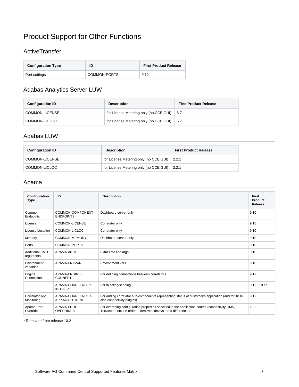## <span id="page-6-0"></span>Product Support for Other Functions

#### <span id="page-6-1"></span>**ActiveTransfer**

| <b>Configuration Type</b> | ID           | <b>First Product Release</b> |
|---------------------------|--------------|------------------------------|
| Port settings             | COMMON-PORTS | 9.12                         |

### <span id="page-6-2"></span>Adabas Analytics Server LUW

| <b>Configuration ID</b> | <b>Description</b>                     | <b>First Product Release</b> |
|-------------------------|----------------------------------------|------------------------------|
| COMMON-LICENSE          | for License Metering only (no CCE GUI) | 6.7                          |
| COMMON-LICLOC           | for License Metering only (no CCE GUI) | 6.7                          |

#### <span id="page-6-3"></span>Adabas LUW

| <b>Configuration ID</b> | <b>Description</b>                           | <b>First Product Release</b> |
|-------------------------|----------------------------------------------|------------------------------|
| COMMON-LICENSE          | for License Metering only (no CCE GUI) 2.2.1 |                              |
| COMMON-LICLOC           | for License Metering only (no CCE GUI) 2.2.1 |                              |

#### <span id="page-6-4"></span>Apama

| Configuration<br><b>Type</b>        | ID                                     | <b>Description</b>                                                                                                                                                   | <b>First</b><br>Product<br>Release |
|-------------------------------------|----------------------------------------|----------------------------------------------------------------------------------------------------------------------------------------------------------------------|------------------------------------|
| Common<br>Endpoints                 | COMMON-COMPONENT-<br><b>ENDPOINTS</b>  | Dashboard server only                                                                                                                                                | 9.10                               |
| License                             | <b>COMMON-LICENSE</b>                  | Correlator only                                                                                                                                                      | 9.10                               |
| License Location                    | COMMON-LICLOC                          | Correlator only                                                                                                                                                      | 9.10                               |
| Memory                              | COMMON-MEMORY                          | Dashboard server only                                                                                                                                                | 9.10                               |
| Ports                               | COMMON-PORTS                           |                                                                                                                                                                      | 9.10                               |
| <b>Additional CMD</b><br>arguments  | APAMA-ARGS                             | Extra cmd line args                                                                                                                                                  | 9.10                               |
| Environment<br>variables            | APAMA-ENVVAR                           | Environment vars                                                                                                                                                     | 9.10                               |
| Engine<br>Connections               | APAMA-ENGINE-<br>CONNECT               | For defining connections between correlators                                                                                                                         | 9.12                               |
|                                     | APAMA-CORRELATOR-<br><b>INITIALIZE</b> | For injecting/sending                                                                                                                                                | $9.12 - 10.1*$                     |
| <b>Correlator App</b><br>Monitoring | APAMA-CORRELATOR-<br>APP-MONITORING    | For adding correlator sub-components representing status of customer's application (and for 10.0+<br>also connectivity plugins)                                      | 9.12                               |
| Apama Prop<br>Overrides             | APAMA-PROP-<br><b>OVERRIDES</b>        | For overriding configuration properties specified in the application source (connectivity, JMS,<br>Terracotta, etc.) in order to deal with dev vs. prod differences. | 10.2                               |

\* Removed from release 10.2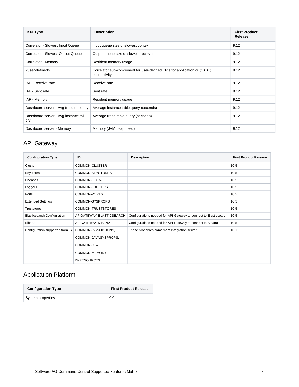| <b>KPI Type</b>                            | <b>Description</b>                                                                        | <b>First Product</b><br>Release |
|--------------------------------------------|-------------------------------------------------------------------------------------------|---------------------------------|
| Correlator - Slowest Input Queue           | Input queue size of slowest context                                                       | 9.12                            |
| Correlator - Slowest Output Queue          | Output queue size of slowest receiver                                                     | 9.12                            |
| Correlator - Memory                        | Resident memory usage                                                                     | 9.12                            |
| <user-defined></user-defined>              | Correlator sub-component for user-defined KPIs for application or (10.0+)<br>connectivity | 9.12                            |
| IAF - Receive rate                         | Receive rate                                                                              | 9.12                            |
| IAF - Sent rate                            | Sent rate                                                                                 | 9.12                            |
| IAF - Memory                               | Resident memory usage                                                                     | 9.12                            |
| Dashboard server - Avg trend table gry     | Average instance table query (seconds)                                                    | 9.12                            |
| Dashboard server - Avg instance tbl<br>qry | Average trend table query (seconds)                                                       | 9.12                            |
| Dashboard server - Memory                  | Memory (JVM heap used)                                                                    | 9.12                            |

### <span id="page-7-0"></span>API Gateway

| <b>Configuration Type</b>          | ID                       | <b>Description</b>                                                | <b>First Product Release</b> |
|------------------------------------|--------------------------|-------------------------------------------------------------------|------------------------------|
| Cluster                            | COMMON-CLUSTER           |                                                                   | 10.5                         |
| Keystores                          | COMMON-KEYSTORES         |                                                                   | 10.5                         |
| Licenses                           | COMMON-LICENSE           |                                                                   | 10.5                         |
| Loggers                            | COMMON-LOGGERS           |                                                                   | 10.5                         |
| Ports                              | COMMON-PORTS             |                                                                   | 10.5                         |
| <b>Extended Settings</b>           | COMMON-SYSPROPS          |                                                                   | 10.5                         |
| <b>Truststores</b>                 | COMMON-TRUSTSTORES       |                                                                   | 10.5                         |
| <b>Elasticsearch Configuration</b> | APIGATEWAY-ELASTICSEARCH | Configurations needed for API Gateway to connect to Elasticsearch | 10.5                         |
| Kibana                             | APIGATEWAY-KIBANA        | Configurations needed for API Gateway to connect to Kibana        | 10.5                         |
| Configuration supported from IS    | COMMON-JVM-OPTIONS,      | These properties come from Integration server                     | 10.1                         |
|                                    | COMMON-JAVASYSPROPS,     |                                                                   |                              |
|                                    | COMMON-JSW,              |                                                                   |                              |
|                                    | COMMON-MEMORY,           |                                                                   |                              |
|                                    | <b>IS-RESOURCES</b>      |                                                                   |                              |

### <span id="page-7-1"></span>Application Platform

| <b>Configuration Type</b> | <b>First Product Release</b> |
|---------------------------|------------------------------|
| System properties         | 9.9                          |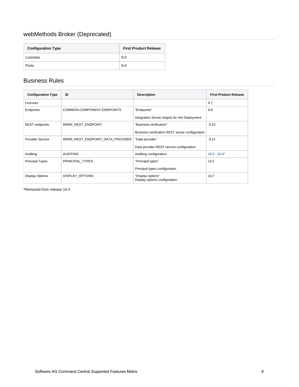### <span id="page-8-0"></span>webMethods Broker (Deprecated)

| <b>Configuration Type</b> | <b>First Product Release</b> |
|---------------------------|------------------------------|
| Licenses                  | 9.0                          |
| Ports                     | 9.0                          |

#### <span id="page-8-1"></span>Business Rules

| <b>Configuration Type</b> | ID                               | <b>Description</b>                                 | <b>First Product Release</b> |
|---------------------------|----------------------------------|----------------------------------------------------|------------------------------|
| Licenses                  |                                  |                                                    | 9.7                          |
| Endpoints                 | COMMON-COMPONENT-ENDPOINTS       | "Endpoints"                                        | 9.8                          |
|                           |                                  | Integration Server targets for Hot Deployment      |                              |
| <b>REST</b> endpoints     | <b>BRMS REST ENDPOINT</b>        | "Business verification"                            | 9.10                         |
|                           |                                  | Business verification REST server configuration    |                              |
| <b>Provider Service</b>   | BRMS_REST_ENDPOINT_DATA_PROVIDER | "Data provider"                                    | 9.12                         |
|                           |                                  | Data provider REST service configuration           |                              |
| Auditing                  | <b>AUDITING</b>                  | Auditing configuration                             | $10.2 - 10.3*$               |
| <b>Principal Types</b>    | PRINCIPAL TYPES                  | "Principal types"                                  | 10.2                         |
|                           |                                  | Principal types configuration                      |                              |
| <b>Display Options</b>    | <b>DISPLAY OPTIONS</b>           | "Display options"<br>Display options configuration | 10.7                         |

\*Removed from release 10.4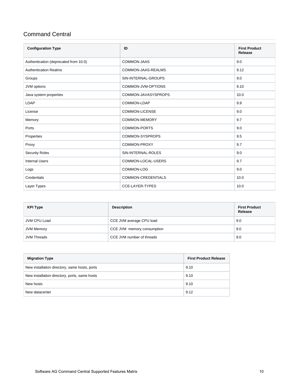#### <span id="page-9-0"></span>Command Central

| <b>Configuration Type</b>             | ID                        | <b>First Product</b><br><b>Release</b> |
|---------------------------------------|---------------------------|----------------------------------------|
| Authentication (deprecated from 10.0) | COMMON-JAAS               | 9.0                                    |
| <b>Authentication Realms</b>          | COMMON-JAAS-REALMS        | 9.12                                   |
| Groups                                | SIN-INTERNAL-GROUPS       | 9.0                                    |
| JVM options                           | COMMON-JVM-OPTIONS        | 9.10                                   |
| Java system properties                | COMMON-JAVASYSPROPS       | 10.0                                   |
| LDAP                                  | COMMON-LDAP               | 9.9                                    |
| License                               | <b>COMMON-LICENSE</b>     | 9.0                                    |
| Memory                                | <b>COMMON-MEMORY</b>      | 9.7                                    |
| Ports                                 | <b>COMMON-PORTS</b>       | 9.0                                    |
| Properties                            | COMMON-SYSPROPS           | 9.5                                    |
| Proxy                                 | COMMON-PROXY              | 9.7                                    |
| <b>Security Roles</b>                 | SIN-INTERNAL-ROLES        | 9.0                                    |
| <b>Internal Users</b>                 | COMMON-LOCAL-USERS        | 9.7                                    |
| Logs                                  | COMMON-LOG                | 9.0                                    |
| Credentials                           | <b>COMMON-CREDENTIALS</b> | 10.0                                   |
| Layer Types                           | <b>CCE-LAYER-TYPES</b>    | 10.0                                   |

| <b>KPI Type</b>    | <b>Description</b>         | <b>First Product</b><br>Release |
|--------------------|----------------------------|---------------------------------|
| JVM CPU Load       | CCE JVM average CPU load   | 9.0                             |
| JVM Memory         | CCE JVM memory consumption | 9.0                             |
| <b>JVM Threads</b> | CCE JVM number of threads  | 9.0                             |

| <b>Migration Type</b>                         | <b>First Product Release</b> |
|-----------------------------------------------|------------------------------|
| New installation directory, same hosts, ports | 9.10                         |
| New installation directory, ports, same hosts | 9.10                         |
| New hosts                                     | 9.10                         |
| New datacenter                                | 9.12                         |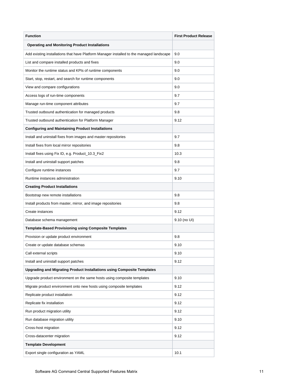| <b>Function</b>                                                                          | <b>First Product Release</b> |
|------------------------------------------------------------------------------------------|------------------------------|
| <b>Operating and Monitoring Product Installations</b>                                    |                              |
| Add existing installations that have Platform Manager installed to the managed landscape | 9.0                          |
| List and compare installed products and fixes                                            | 9.0                          |
| Monitor the runtime status and KPIs of runtime components                                | 9.0                          |
| Start, stop, restart, and search for runtime components                                  | 9.0                          |
| View and compare configurations                                                          | 9.0                          |
| Access logs of run-time components                                                       | 9.7                          |
| Manage run-time component attributes                                                     | 9.7                          |
| Trusted outbound authentication for managed products                                     | 9.8                          |
| Trusted outbound authentication for Platform Manager                                     | 9.12                         |
| <b>Configuring and Maintaining Product Installations</b>                                 |                              |
| Install and uninstall fixes from images and master repositories                          | 9.7                          |
| Install fixes from local mirror repositories                                             | 9.8                          |
| Install fixes using Fix ID, e.g. Product_10.3_Fix2                                       | 10.3                         |
| Install and uninstall support patches                                                    | 9.8                          |
| Configure runtime instances                                                              | 9.7                          |
| Runtime instances administration                                                         | 9.10                         |
| <b>Creating Product Installations</b>                                                    |                              |
| Bootstrap new remote installations                                                       | 9.8                          |
| Install products from master, mirror, and image repositories                             | 9.8                          |
| Create instances                                                                         | 9.12                         |
| Database schema management                                                               | 9.10 (no UI)                 |
| <b>Template-Based Provisioning using Composite Templates</b>                             |                              |
| Provision or update product environment                                                  | 9.8                          |
| Create or update database schemas                                                        | 9.10                         |
| Call external scripts                                                                    | 9.10                         |
| Install and uninstall support patches                                                    | 9.12                         |
| Upgrading and Migrating Product Installations using Composite Templates                  |                              |
| Upgrade product environment on the same hosts using composite templates                  | 9.10                         |
| Migrate product environment onto new hosts using composite templates                     | 9.12                         |
| Replicate product installation                                                           | 9.12                         |
| Replicate fix installation                                                               | 9.12                         |
| Run product migration utility                                                            | 9.12                         |
| Run database migration utility                                                           | 9.10                         |
| Cross-host migration                                                                     | 9.12                         |
| Cross-datacenter migration                                                               | 9.12                         |
| <b>Template Development</b>                                                              |                              |
| Export single configuration as YAML                                                      | 10.1                         |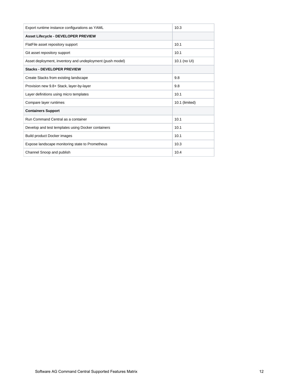| Export runtime instance configurations as YAML            | 10.3           |
|-----------------------------------------------------------|----------------|
| <b>Asset Lifecycle - DEVELOPER PREVIEW</b>                |                |
| FlatFile asset repository support                         | 10.1           |
| Git asset repository support                              | 10.1           |
| Asset deployment, inventory and undeployment (push model) | 10.1 (no UI)   |
| <b>Stacks - DEVELOPER PREVIEW</b>                         |                |
| Create Stacks from existing landscape                     | 9.8            |
| Provision new 9.8+ Stack, layer-by-layer                  | 9.8            |
| Layer definitions using micro templates                   | 10.1           |
| Compare layer runtimes                                    | 10.1 (limited) |
| <b>Containers Support</b>                                 |                |
| Run Command Central as a container                        | 10.1           |
| Develop and test templates using Docker containers        | 10.1           |
| <b>Build product Docker images</b>                        | 10.1           |
| Expose landscape monitoring state to Prometheus           | 10.3           |
| Channel Snoop and publish                                 | 10.4           |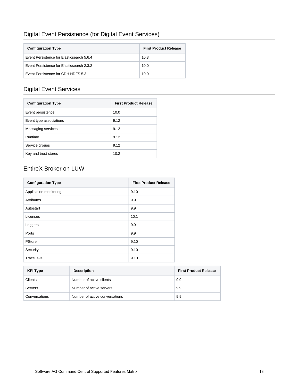### <span id="page-12-0"></span>Digital Event Persistence (for Digital Event Services)

| <b>Configuration Type</b>                 | <b>First Product Release</b> |
|-------------------------------------------|------------------------------|
| Event Persistence for Elasticsearch 5.6.4 | 10.3                         |
| Event Persistence for Elasticsearch 2.3.2 | 10.0                         |
| Event Persistence for CDH HDFS 5.3        | 10.0                         |

### <span id="page-12-1"></span>Digital Event Services

| <b>Configuration Type</b> | <b>First Product Release</b> |
|---------------------------|------------------------------|
| Event persistence         | 10.0                         |
| Event type associations   | 9.12                         |
| Messaging services        | 9.12                         |
| Runtime                   | 9.12                         |
| Service groups            | 9.12                         |
| Key and trust stores      | 10.2                         |

#### <span id="page-12-2"></span>EntireX Broker on LUW

| <b>Configuration Type</b> | <b>First Product Release</b> |
|---------------------------|------------------------------|
| Application monitoring    | 9.10                         |
| Attributes                | 9.9                          |
| Autostart                 | 9.9                          |
| Licenses                  | 10.1                         |
| Loggers                   | 9.9                          |
| Ports                     | 9.9                          |
| PStore                    | 9.10                         |
| Security                  | 9.10                         |
| Trace level               | 9.10                         |

| <b>KPI Type</b> | <b>Description</b>             | <b>First Product Release</b> |
|-----------------|--------------------------------|------------------------------|
| Clients         | Number of active clients       | 9.9                          |
| Servers         | Number of active servers       | 9.9                          |
| Conversations   | Number of active conversations | 9.9                          |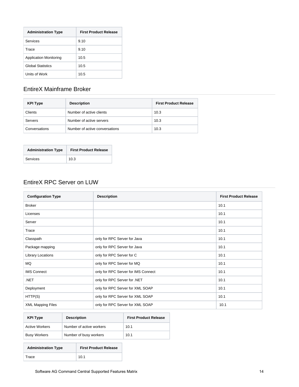| <b>Administration Type</b>    | <b>First Product Release</b> |
|-------------------------------|------------------------------|
| Services                      | 9.10                         |
| Trace                         | 9.10                         |
| <b>Application Monitoring</b> | 10.5                         |
| <b>Global Statistics</b>      | 10.5                         |
| Units of Work                 | 10.5                         |

### <span id="page-13-0"></span>EntireX Mainframe Broker

| <b>KPI Type</b> | <b>Description</b>             | <b>First Product Release</b> |
|-----------------|--------------------------------|------------------------------|
| Clients         | Number of active clients       | 10.3                         |
| Servers         | Number of active servers       | 10.3                         |
| Conversations   | Number of active conversations | 10.3                         |

| <b>Administration Type</b> | <b>First Product Release</b> |
|----------------------------|------------------------------|
| Services                   | 10.3                         |

#### <span id="page-13-1"></span>EntireX RPC Server on LUW

| <b>Configuration Type</b> | <b>Description</b>                  | <b>First Product Release</b> |
|---------------------------|-------------------------------------|------------------------------|
| <b>Broker</b>             |                                     | 10.1                         |
| Licenses                  |                                     | 10.1                         |
| Server                    |                                     | 10.1                         |
| Trace                     |                                     | 10.1                         |
| Classpath                 | only for RPC Server for Java        | 10.1                         |
| Package mapping           | only for RPC Server for Java        | 10.1                         |
| Library Locations         | only for RPC Server for C           | 10.1                         |
| MQ                        | only for RPC Server for MQ          | 10.1                         |
| <b>IMS Connect</b>        | only for RPC Server for IMS Connect | 10.1                         |
| .NET                      | only for RPC Server for .NET        | 10.1                         |
| Deployment                | only for RPC Server for XML SOAP    | 10.1                         |
| HTTP(S)                   | only for RPC Server for XML SOAP    | 10.1                         |
| <b>XML Mapping Files</b>  | only for RPC Server for XML SOAP    | 10.1                         |

| <b>KPI Type</b>       | <b>Description</b>       | <b>First Product Release</b> |
|-----------------------|--------------------------|------------------------------|
| <b>Active Workers</b> | Number of active workers | 10.1                         |
| <b>Busy Workers</b>   | Number of busy workers   | 10.1                         |

<span id="page-13-2"></span>

| <b>Administration Type</b> | <b>First Product Release</b> |
|----------------------------|------------------------------|
| Trace                      | 10.1                         |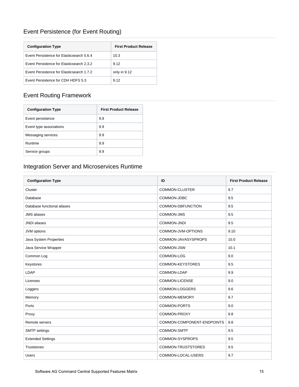### Event Persistence (for Event Routing)

| <b>Configuration Type</b>                 | <b>First Product Release</b> |
|-------------------------------------------|------------------------------|
| Event Persistence for Elasticsearch 5.6.4 | 10.3                         |
| Event Persistence for Elasticsearch 2.3.2 | 9.12                         |
| Event Persistence for Elasticsearch 1.7.2 | only in 9.12                 |
| <b>Event Persistence for CDH HDES 5.3</b> | 9.12                         |

### <span id="page-14-0"></span>Event Routing Framework

| <b>Configuration Type</b> | <b>First Product Release</b> |
|---------------------------|------------------------------|
| Event persistence         | 9.9                          |
| Event type associations   | 9.9                          |
| Messaging services        | 9.9                          |
| Runtime                   | 9.9                          |
| Service groups            | 9.9                          |

### <span id="page-14-1"></span>Integration Server and Microservices Runtime

| <b>Configuration Type</b>   | ID                         | <b>First Product Release</b> |
|-----------------------------|----------------------------|------------------------------|
| Cluster                     | <b>COMMON-CLUSTER</b>      | 9.7                          |
| Database                    | COMMON-JDBC                | 9.5                          |
| Database functional aliases | COMMON-DBFUNCTION          | 9.5                          |
| <b>JMS</b> aliases          | COMMON-JMS                 | 9.5                          |
| <b>JNDI</b> aliases         | COMMON-JNDI                | 9.5                          |
| JVM options                 | COMMON-JVM-OPTIONS         | 9.10                         |
| Java System Properties      | COMMON-JAVASYSPROPS        | 10.0                         |
| Java Service Wrapper        | COMMON-JSW                 | 10.1                         |
| Common Log                  | COMMON-LOG                 | 9.0                          |
| Keystores                   | COMMON-KEYSTORES           | 9.5                          |
| LDAP                        | COMMON-LDAP                | 9.9                          |
| Licenses                    | <b>COMMON-LICENSE</b>      | 9.0                          |
| Loggers                     | COMMON-LOGGERS             | 9.6                          |
| Memory                      | COMMON-MEMORY              | 9.7                          |
| Ports                       | COMMON-PORTS               | 9.0                          |
| Proxy                       | COMMON-PROXY               | 9.8                          |
| Remote servers              | COMMON-COMPONENT-ENDPOINTS | 9.8                          |
| <b>SMTP</b> settings        | COMMON-SMTP                | 9.5                          |
| <b>Extended Settings</b>    | COMMON-SYSPROPS            | 9.5                          |
| <b>Truststores</b>          | <b>COMMON-TRUSTSTORES</b>  | 9.5                          |
| <b>Users</b>                | COMMON-LOCAL-USERS         | 9.7                          |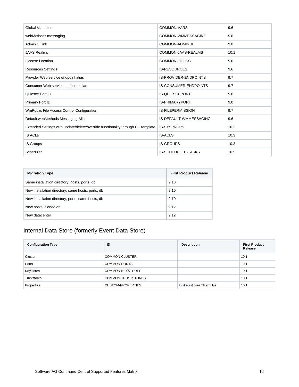| <b>Global Variables</b>                                                         | <b>COMMON-VARS</b>           | 9.6  |
|---------------------------------------------------------------------------------|------------------------------|------|
| webMethods messaging                                                            | COMMON-WMMESSAGING           | 9.6  |
| Admin UI link                                                                   | COMMON-ADMINUI               | 9.0  |
| <b>JAAS Realms</b>                                                              | COMMON-JAAS-REALMS           | 10.1 |
| License Location                                                                | COMMON-LICLOC                | 9.0  |
| <b>Resources Settings</b>                                                       | <b>IS-RESOURCES</b>          | 9.6  |
| Provider Web service endpoint alias                                             | <b>IS-PROVIDER-ENDPOINTS</b> | 9.7  |
| Consumer Web service endpoint alias                                             | <b>IS-CONSUMER-ENDPOINTS</b> | 9.7  |
| Quiesce Port ID                                                                 | <b>IS-QUIESCEPORT</b>        | 9.6  |
| Primary Port ID                                                                 | <b>IS-PRIMARYPORT</b>        | 9.0  |
| WmPublic File Access Control Configuration                                      | <b>IS-FILEPERMISSION</b>     | 9.7  |
| Default webMethods Messaging Alias                                              | IS-DEFAULT-WMMESSAGING       | 9.6  |
| Extended Settings with update/delete/override functionality through CC template | <b>IS-SYSPROPS</b>           | 10.2 |
| <b>IS ACLS</b>                                                                  | <b>IS-ACLS</b>               | 10.3 |
| IS Groups                                                                       | <b>IS-GROUPS</b>             | 10.3 |
| Scheduler                                                                       | <b>IS-SCHEDULED-TASKS</b>    | 10.5 |

| <b>Migration Type</b>                             | <b>First Product Release</b> |
|---------------------------------------------------|------------------------------|
| Same installation directory, hosts, ports, db     | 9.10                         |
| New installation directory, same hosts, ports, db | 9.10                         |
| New installation directory, ports, same hosts, db | 9.10                         |
| New hosts, cloned db                              | 9.12                         |
| New datacenter                                    | 9.12                         |

### <span id="page-15-0"></span>Internal Data Store (formerly Event Data Store)

| <b>Configuration Type</b> | ID                       | <b>Description</b>          | <b>First Product</b><br>Release |
|---------------------------|--------------------------|-----------------------------|---------------------------------|
| Cluster                   | COMMON-CLUSTER           |                             | 10.1                            |
| Ports                     | COMMON-PORTS             |                             | 10.1                            |
| Keystores                 | COMMON-KEYSTORES         |                             | 10.1                            |
| Truststores               | COMMON-TRUSTSTORES       |                             | 10.1                            |
| Properties                | <b>CUSTOM-PROPERTIES</b> | Edit elasticsearch.yml file | 10.1                            |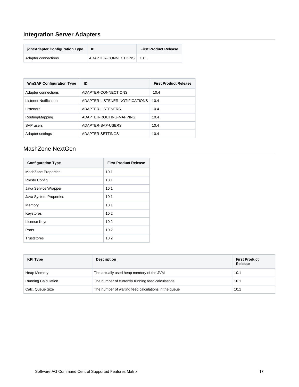### <span id="page-16-0"></span>I**ntegration Server Adapters**

| idbcAdapter Configuration Type | ID                  | <b>First Product Release</b> |
|--------------------------------|---------------------|------------------------------|
| Adapter connections            | ADAPTER-CONNECTIONS | 10.1                         |

| <b>WmSAP Configuration Type</b> | ID                             | <b>First Product Release</b> |
|---------------------------------|--------------------------------|------------------------------|
| Adapter connections             | ADAPTER-CONNECTIONS            | 10.4                         |
| <b>Listener Notification</b>    | ADAPTER-LISTENER-NOTIFICATIONS | 10.4                         |
| Listeners                       | ADAPTER-LISTENERS              | 10.4                         |
| Routing/Mapping                 | ADAPTER-ROUTING-MAPPING        | 10.4                         |
| SAP users                       | ADAPTER-SAP-USERS              | 10.4                         |
| Adapter settings                | ADAPTER-SETTINGS               | 10.4                         |

#### <span id="page-16-1"></span>MashZone NextGen

| <b>Configuration Type</b>  | <b>First Product Release</b> |
|----------------------------|------------------------------|
| <b>MashZone Properties</b> | 10.1                         |
| Presto Config              | 10.1                         |
| Java Service Wrapper       | 10.1                         |
| Java System Properties     | 10.1                         |
| Memory                     | 10.1                         |
| Keystores                  | 10.2                         |
| License Keys               | 10.2                         |
| Ports                      | 10.2                         |
| <b>Truststores</b>         | 10.2                         |

| <b>KPI Type</b>            | <b>Description</b>                                   | <b>First Product</b><br>Release |
|----------------------------|------------------------------------------------------|---------------------------------|
| Heap Memory                | The actually used heap memory of the JVM             | 10.1                            |
| <b>Running Calculation</b> | The number of currently running feed calculations    | 10.1                            |
| Calc. Queue Size           | The number of waiting feed calculations in the queue | 10.1                            |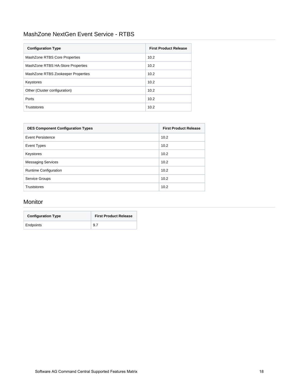#### <span id="page-17-0"></span>MashZone NextGen Event Service - RTBS

| <b>Configuration Type</b>          | <b>First Product Release</b> |
|------------------------------------|------------------------------|
| MashZone RTBS Core Properties      | 10.2                         |
| MashZone RTBS HA-Store Properties  | 10.2                         |
| MashZone RTBS Zookeeper Properties | 10.2                         |
| Keystores                          | 10.2                         |
| Other (Cluster configuration)      | 10.2                         |
| Ports                              | 10.2                         |
| <b>Truststores</b>                 | 10.2                         |

| <b>DES Component Configuration Types</b> | <b>First Product Release</b> |
|------------------------------------------|------------------------------|
| Event Persistence                        | 10.2                         |
| <b>Event Types</b>                       | 10.2                         |
| Keystores                                | 10.2                         |
| <b>Messaging Services</b>                | 10.2                         |
| Runtime Configuration                    | 10.2                         |
| <b>Service Groups</b>                    | 10.2                         |
| <b>Truststores</b>                       | 10.2                         |

#### <span id="page-17-1"></span>Monitor

| <b>Configuration Type</b> | <b>First Product Release</b> |
|---------------------------|------------------------------|
| Endpoints                 | 9.7                          |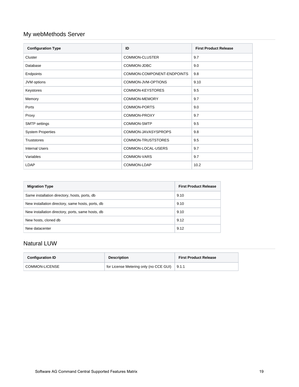### <span id="page-18-0"></span>My webMethods Server

| <b>Configuration Type</b> | ID                         | <b>First Product Release</b> |
|---------------------------|----------------------------|------------------------------|
| Cluster                   | <b>COMMON-CLUSTER</b>      | 9.7                          |
| Database                  | COMMON-JDBC                | 9.0                          |
| Endpoints                 | COMMON-COMPONENT-ENDPOINTS | 9.8                          |
| JVM options               | COMMON-JVM-OPTIONS         | 9.10                         |
| Keystores                 | <b>COMMON-KEYSTORES</b>    | 9.5                          |
| Memory                    | <b>COMMON-MEMORY</b>       | 9.7                          |
| Ports                     | COMMON-PORTS               | 9.0                          |
| Proxy                     | COMMON-PROXY               | 9.7                          |
| <b>SMTP</b> settings      | <b>COMMON-SMTP</b>         | 9.5                          |
| <b>System Properties</b>  | COMMON-JAVASYSPROPS        | 9.8                          |
| <b>Truststores</b>        | COMMON-TRUSTSTORES         | 9.5                          |
| <b>Internal Users</b>     | COMMON-LOCAL-USERS         | 9.7                          |
| Variables                 | COMMON-VARS                | 9.7                          |
| LDAP                      | COMMON-LDAP                | 10.2                         |

| <b>Migration Type</b>                             | <b>First Product Release</b> |
|---------------------------------------------------|------------------------------|
| Same installation directory, hosts, ports, db     | 9.10                         |
| New installation directory, same hosts, ports, db | 9.10                         |
| New installation directory, ports, same hosts, db | 9.10                         |
| New hosts, cloned db                              | 9.12                         |
| New datacenter                                    | 9.12                         |

#### <span id="page-18-1"></span>Natural LUW

| <b>Configuration ID</b> | <b>Description</b>                     | <b>First Product Release</b> |
|-------------------------|----------------------------------------|------------------------------|
| COMMON-LICENSE          | for License Metering only (no CCE GUI) | 9.1.1                        |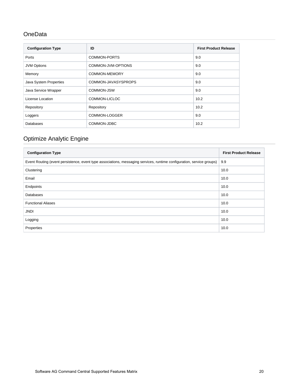#### <span id="page-19-0"></span>**OneData**

| <b>Configuration Type</b> | ID                  | <b>First Product Release</b> |
|---------------------------|---------------------|------------------------------|
| Ports                     | COMMON-PORTS        | 9.0                          |
| <b>JVM Options</b>        | COMMON-JVM-OPTIONS  | 9.0                          |
| Memory                    | COMMON-MEMORY       | 9.0                          |
| Java System Properties    | COMMON-JAVASYSPROPS | 9.0                          |
| Java Service Wrapper      | COMMON-JSW          | 9.0                          |
| License Location          | COMMON-LICLOC       | 10.2                         |
| Repository                | Repository          | 10.2                         |
| Loggers                   | COMMON-LOGGER       | 9.0                          |
| Databases                 | COMMON-JDBC         | 10.2                         |

### <span id="page-19-1"></span>Optimize Analytic Engine

| <b>Configuration Type</b>                                                                                             | <b>First Product Release</b> |
|-----------------------------------------------------------------------------------------------------------------------|------------------------------|
| Event Routing (event persistence, event type associations, messaging services, runtime configuration, service groups) | 9.9                          |
| Clustering                                                                                                            | 10.0                         |
| Email                                                                                                                 | 10.0                         |
| Endpoints                                                                                                             | 10.0                         |
| <b>Databases</b>                                                                                                      | 10.0                         |
| <b>Functional Aliases</b>                                                                                             | 10.0                         |
| <b>JNDI</b>                                                                                                           | 10.0                         |
| Logging                                                                                                               | 10.0                         |
| Properties                                                                                                            | 10.0                         |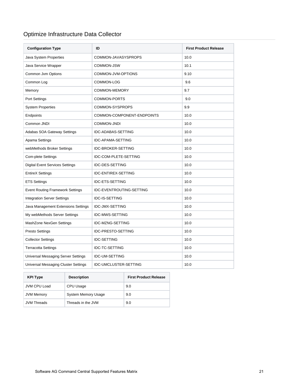### <span id="page-20-0"></span>Optimize Infrastructure Data Collector

| <b>Configuration Type</b>                  | ID                         | <b>First Product Release</b> |
|--------------------------------------------|----------------------------|------------------------------|
| Java System Properties                     | COMMON-JAVASYSPROPS        | 10.0                         |
| Java Service Wrapper                       | COMMON-JSW                 | 10.1                         |
| Common Jvm Options                         | COMMON-JVM-OPTIONS         | 9.10                         |
| Common Log                                 | COMMON-LOG                 | 9.6                          |
| Memory                                     | <b>COMMON-MEMORY</b>       | 9.7                          |
| Port Settings                              | COMMON-PORTS               | 9.0                          |
| <b>System Properties</b>                   | COMMON-SYSPROPS            | 9.9                          |
| Endpoints                                  | COMMON-COMPONENT-ENDPOINTS | 10.0                         |
| Common JNDI                                | <b>COMMON-JNDI</b>         | 10.0                         |
| Adabas SOA Gateway Settings                | <b>IDC-ADABAS-SETTING</b>  | 10.0                         |
| Apama Settings                             | <b>IDC-APAMA-SETTING</b>   | 10.0                         |
| webMethods Broker Settings                 | <b>IDC-BROKER-SETTING</b>  | 10.0                         |
| <b>Com-plete Settings</b>                  | IDC-COM-PLETE-SETTING      | 10.0                         |
| <b>Digital Event Services Settings</b>     | <b>IDC-DES-SETTING</b>     | 10.0                         |
| <b>EntireX Settings</b>                    | <b>IDC-ENTIREX-SETTING</b> | 10.0                         |
| <b>ETS Settings</b>                        | <b>IDC-ETS-SETTING</b>     | 10.0                         |
| <b>Event Routing Framework Settings</b>    | IDC-EVENTROUTING-SETTING   | 10.0                         |
| <b>Integration Server Settings</b>         | <b>IDC-IS-SETTING</b>      | 10.0                         |
| Java Management Extensions Settings        | <b>IDC-JMX-SETTING</b>     | 10.0                         |
| My webMethods Server Settings              | IDC-MWS-SETTING            | 10.0                         |
| MashZone NexGen Settings                   | IDC-MZNG-SETTING           | 10.0                         |
| <b>Presto Settings</b>                     | <b>IDC-PRESTO-SETTING</b>  | 10.0                         |
| <b>Collector Settings</b>                  | <b>IDC-SETTING</b>         | 10.0                         |
| <b>Terracotta Settings</b>                 | <b>IDC-TC-SETTING</b>      | 10.0                         |
| <b>Universal Messaging Server Settings</b> | <b>IDC-UM-SETTING</b>      | 10.0                         |
| Universal Messaging Cluster Settings       | IDC-UMCLUSTER-SETTING      | 10.0                         |

| <b>KPI Type</b>    | <b>Description</b>         | <b>First Product Release</b> |
|--------------------|----------------------------|------------------------------|
| JVM CPU Load       | CPU Usage                  | 9.0                          |
| <b>JVM Memory</b>  | <b>System Memory Usage</b> | 9.0                          |
| <b>JVM Threads</b> | Threads in the JVM         | 9.0                          |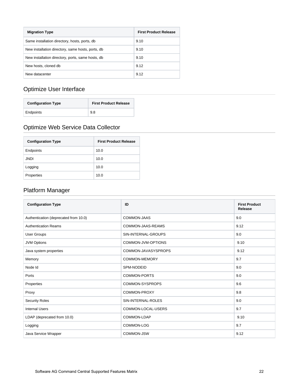| <b>Migration Type</b>                             | <b>First Product Release</b> |
|---------------------------------------------------|------------------------------|
| Same installation directory, hosts, ports, db     | 9.10                         |
| New installation directory, same hosts, ports, db | 9.10                         |
| New installation directory, ports, same hosts, db | 9.10                         |
| New hosts, cloned db                              | 9.12                         |
| New datacenter                                    | 9.12                         |

### <span id="page-21-0"></span>Optimize User Interface

| <b>Configuration Type</b> | <b>First Product Release</b> |
|---------------------------|------------------------------|
| Endpoints                 | 9.8                          |

### <span id="page-21-1"></span>Optimize Web Service Data Collector

| <b>Configuration Type</b> | <b>First Product Release</b> |
|---------------------------|------------------------------|
| Endpoints                 | 10.0                         |
| JNDI                      | 10.0                         |
| Logging                   | 10.0                         |
| Properties                | 10.0                         |

#### <span id="page-21-2"></span>Platform Manager

| <b>Configuration Type</b>             | ID                  | <b>First Product</b><br>Release |
|---------------------------------------|---------------------|---------------------------------|
| Authentication (deprecated from 10.0) | <b>COMMON-JAAS</b>  | 9.0                             |
| <b>Authentication Reams</b>           | COMMON-JAAS-REAMS   | 9.12                            |
| <b>User Groups</b>                    | SIN-INTERNAL-GROUPS | 9.0                             |
| <b>JVM Options</b>                    | COMMON-JVM-OPTIONS  | 9.10                            |
| Java system properties                | COMMON-JAVASYSPROPS | 9.12                            |
| Memory                                | COMMON-MEMORY       | 9.7                             |
| Node Id                               | SPM-NODEID          | 9.0                             |
| Ports                                 | COMMON-PORTS        | 9.0                             |
| Properties                            | COMMON-SYSPROPS     | 9.6                             |
| Proxy                                 | COMMON-PROXY        | 9.8                             |
| <b>Security Roles</b>                 | SIN-INTERNAL-ROLES  | 9.0                             |
| <b>Internal Users</b>                 | COMMON-LOCAL-USERS  | 9.7                             |
| LDAP (deprecated from 10.0)           | COMMON-LDAP         | 9.10                            |
| Logging                               | COMMON-LOG          | 9.7                             |
| Java Service Wrapper                  | COMMON-JSW          | 9.12                            |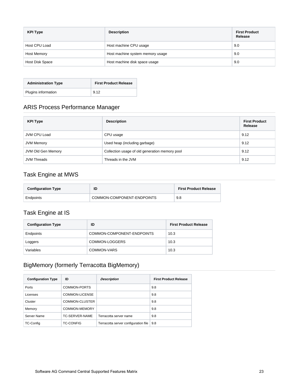| <b>KPI Type</b> | <b>Description</b>               | <b>First Product</b><br>Release |
|-----------------|----------------------------------|---------------------------------|
| Host CPU Load   | Host machine CPU usage           | 9.0                             |
| Host Memory     | Host machine system memory usage | 9.0                             |
| Host Disk Space | Host machine disk space usage    | 9.0                             |

| <b>Administration Type</b> | <b>First Product Release</b> |
|----------------------------|------------------------------|
| Plugins information        | 9.12                         |

### <span id="page-22-0"></span>ARIS Process Performance Manager

| <b>KPI Type</b>    | <b>Description</b>                             | <b>First Product</b><br>Release |
|--------------------|------------------------------------------------|---------------------------------|
| JVM CPU Load       | CPU usage                                      | 9.12                            |
| JVM Memory         | Used heap (including garbage)                  | 9.12                            |
| JVM Old Gen Memory | Collection usage of old generation memory pool | 9.12                            |
| <b>JVM Threads</b> | Threads in the JVM                             | 9.12                            |

#### <span id="page-22-1"></span>Task Engine at MWS

| <b>Configuration Type</b> | ID                         | <b>First Product Release</b> |
|---------------------------|----------------------------|------------------------------|
| Endpoints                 | COMMON-COMPONENT-ENDPOINTS | 9.8                          |

#### <span id="page-22-2"></span>Task Engine at IS

| <b>Configuration Type</b> | ID                         | <b>First Product Release</b> |
|---------------------------|----------------------------|------------------------------|
| Endpoints                 | COMMON-COMPONENT-ENDPOINTS | 10.3                         |
| Loggers                   | COMMON-LOGGERS             | 10.3                         |
| Variables                 | COMMON-VARS                | 10.3                         |

### <span id="page-22-3"></span>BigMemory (formerly Terracotta BigMemory)

| <b>Configuration Type</b> | ID               | <b>Description</b>                   | <b>First Product Release</b> |
|---------------------------|------------------|--------------------------------------|------------------------------|
| Ports                     | COMMON-PORTS     |                                      | 9.8                          |
| Licenses                  | COMMON-LICENSE   |                                      | 9.8                          |
| Cluster                   | COMMON-CLUSTER   |                                      | 9.8                          |
| Memory                    | COMMON-MEMORY    |                                      | 9.8                          |
| Server Name               | TC-SERVER-NAME   | Terracotta server name               | 9.8                          |
| TC-Config                 | <b>TC-CONFIG</b> | Terracotta server configuration file | 9.8                          |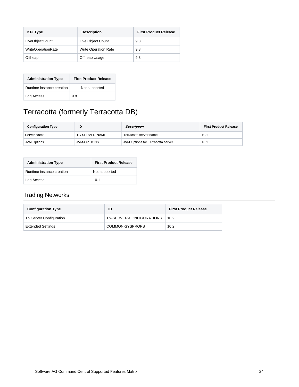| <b>KPI Type</b>           | <b>Description</b>          | <b>First Product Release</b> |
|---------------------------|-----------------------------|------------------------------|
| LiveObjectCount           | Live Object Count           | 9.8                          |
| <b>WriteOperationRate</b> | <b>Write Operation Rate</b> | 9.8                          |
| Offheap                   | Offheap Usage               | 9.8                          |

| <b>Administration Type</b> | <b>First Product Release</b> |
|----------------------------|------------------------------|
| Runtime instance creation  | Not supported                |
| Log Access                 | 9.8                          |

# <span id="page-23-0"></span>Terracotta (formerly Terracotta DB)

| <b>Configuration Type</b> | ID                 | Description                       | <b>First Product Release</b> |
|---------------------------|--------------------|-----------------------------------|------------------------------|
| Server Name               | TC-SERVER-NAME     | Terracotta server name            | 10.1                         |
| <b>JVM Options</b>        | <b>JVM-OPTIONS</b> | JVM Options for Terracotta server | 10.1                         |

| <b>Administration Type</b> | <b>First Product Release</b> |
|----------------------------|------------------------------|
| Runtime instance creation  | Not supported                |
| Log Access                 | 10.1                         |

### <span id="page-23-1"></span>Trading Networks

| <b>Configuration Type</b>      | ID                       | <b>First Product Release</b> |
|--------------------------------|--------------------------|------------------------------|
| <b>TN Server Configuration</b> | TN-SERVER-CONFIGURATIONS | 10.2                         |
| <b>Extended Settings</b>       | COMMON-SYSPROPS          | 10.2                         |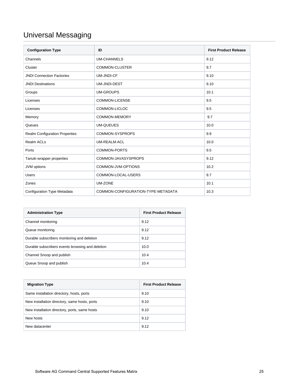# <span id="page-24-0"></span>Universal Messaging

| <b>Configuration Type</b>             | ID                                 | <b>First Product Release</b> |
|---------------------------------------|------------------------------------|------------------------------|
| Channels                              | <b>UM-CHANNELS</b>                 | 9.12                         |
| Cluster                               | COMMON-CLUSTER                     | 9.7                          |
| <b>JNDI Connection Factories</b>      | <b>UM-JNDI-CF</b>                  | 9.10                         |
| <b>JNDI Destinations</b>              | <b>UM-JNDI-DEST</b>                | 9.10                         |
| Groups                                | <b>UM-GROUPS</b>                   | 10.1                         |
| Licenses                              | COMMON-LICENSE                     | 9.5                          |
| Licenses                              | COMMON-LICLOC                      | 9.5                          |
| Memory                                | <b>COMMON-MEMORY</b>               | 9.7                          |
| Queues                                | <b>UM-QUEUES</b>                   | 10.0                         |
| <b>Realm Configuration Properties</b> | COMMON-SYSPROPS                    | 9.9                          |
| <b>Realm ACLs</b>                     | <b>UM-REALM-ACL</b>                | 10.0                         |
| Ports                                 | COMMON-PORTS                       | 9.5                          |
| Tanuki wrapper properties             | COMMON-JAVASYSPROPS                | 9.12                         |
| JVM options                           | COMMON-JVM-OPTIONS                 | 10.2                         |
| <b>Users</b>                          | COMMON-LOCAL-USERS                 | 9.7                          |
| Zones                                 | UM-ZONE                            | 10.1                         |
| <b>Configuration Type Metadata</b>    | COMMON-CONFIGURATION-TYPE-METADATA | 10.3                         |

| <b>Administration Type</b>                       | <b>First Product Release</b> |
|--------------------------------------------------|------------------------------|
| Channel monitoring                               | 9.12                         |
| Queue monitoring                                 | 9.12                         |
| Durable subscribers monitoring and deletion      | 9.12                         |
| Durable subscribers events browsing and deletion | 10.0                         |
| Channel Snoop and publish                        | 10.4                         |
| Queue Snoop and publish                          | 10.4                         |

| <b>Migration Type</b>                         | <b>First Product Release</b> |
|-----------------------------------------------|------------------------------|
| Same installation directory, hosts, ports     | 9.10                         |
| New installation directory, same hosts, ports | 9.10                         |
| New installation directory, ports, same hosts | 9.10                         |
| New hosts                                     | 9.12                         |
| New datacenter                                | 9.12                         |